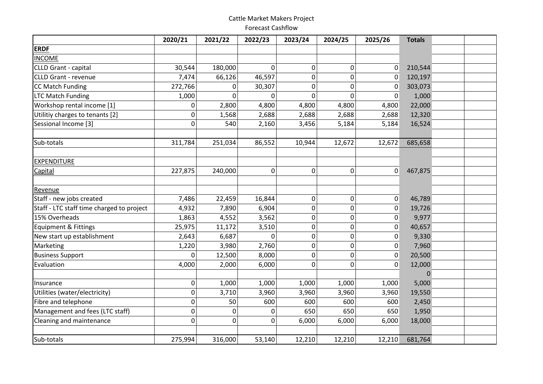## Cattle Market Makers Project Forecast Cashflow

|                                           | 2020/21 | 2021/22 | 2022/23     | 2023/24  | 2024/25 | 2025/26 | <b>Totals</b> |  |
|-------------------------------------------|---------|---------|-------------|----------|---------|---------|---------------|--|
| <b>ERDF</b>                               |         |         |             |          |         |         |               |  |
| <b>INCOME</b>                             |         |         |             |          |         |         |               |  |
| CLLD Grant - capital                      | 30,544  | 180,000 | 0           | 0        | 0       | 0       | 210,544       |  |
| <b>CLLD Grant - revenue</b>               | 7,474   | 66,126  | 46,597      | 0        | 0       | 0       | 120,197       |  |
| <b>CC Match Funding</b>                   | 272,766 | 0       | 30,307      | 0        | 0       | 0       | 303,073       |  |
| <b>LTC Match Funding</b>                  | 1,000   | 0       | $\Omega$    | $\Omega$ | 0       | 0       | 1,000         |  |
| Workshop rental income [1]                | 0       | 2,800   | 4,800       | 4,800    | 4,800   | 4,800   | 22,000        |  |
| Utilitiy charges to tenants [2]           | 0       | 1,568   | 2,688       | 2,688    | 2,688   | 2,688   | 12,320        |  |
| Sessional Income [3]                      | 0       | 540     | 2,160       | 3,456    | 5,184   | 5,184   | 16,524        |  |
|                                           |         |         |             |          |         |         |               |  |
| Sub-totals                                | 311,784 | 251,034 | 86,552      | 10,944   | 12,672  | 12,672  | 685,658       |  |
| EXPENDITURE                               |         |         |             |          |         |         |               |  |
| Capital                                   | 227,875 | 240,000 | $\mathbf 0$ | 0        | 0       | 0       | 467,875       |  |
| Revenue                                   |         |         |             |          |         |         |               |  |
| Staff - new jobs created                  | 7,486   | 22,459  | 16,844      | 0        | 0       | 0       | 46,789        |  |
| Staff - LTC staff time charged to project | 4,932   | 7,890   | 6,904       | 0        | 0       | 0       | 19,726        |  |
| 15% Overheads                             | 1,863   | 4,552   | 3,562       | 0        | 0       | 0       | 9,977         |  |
| <b>Equipment &amp; Fittings</b>           | 25,975  | 11,172  | 3,510       | 0        | 0       | 0       | 40,657        |  |
| New start up establishment                | 2,643   | 6,687   | $\Omega$    | 0        | 0       | 0       | 9,330         |  |
| Marketing                                 | 1,220   | 3,980   | 2,760       | 0        | 0       | 0       | 7,960         |  |
| <b>Business Support</b>                   | 0       | 12,500  | 8,000       | 0        | 0       | 0       | 20,500        |  |
| Evaluation                                | 4,000   | 2,000   | 6,000       | 0        | 0       | 0       | 12,000        |  |
|                                           |         |         |             |          |         |         | $\Omega$      |  |
| Insurance                                 | 0       | 1,000   | 1,000       | 1,000    | 1,000   | 1,000   | 5,000         |  |
| Utilities (water/electricity)             | 0       | 3,710   | 3,960       | 3,960    | 3,960   | 3,960   | 19,550        |  |
| Fibre and telephone                       | 0       | 50      | 600         | 600      | 600     | 600     | 2,450         |  |
| Management and fees (LTC staff)           | 0       | 0       | $\mathbf 0$ | 650      | 650     | 650     | 1,950         |  |
| Cleaning and maintenance                  | 0       | 0       | 0           | 6,000    | 6,000   | 6,000   | 18,000        |  |
|                                           |         |         |             |          |         |         |               |  |
| Sub-totals                                | 275,994 | 316,000 | 53,140      | 12,210   | 12,210  | 12,210  | 681,764       |  |